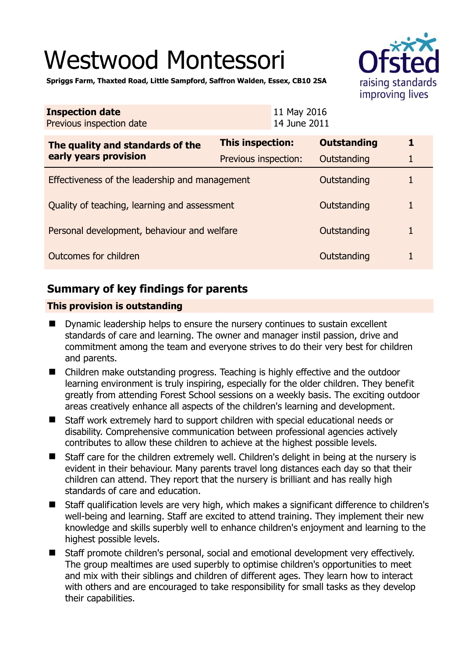# Westwood Montessori



**Spriggs Farm, Thaxted Road, Little Sampford, Saffron Walden, Essex, CB10 2SA** 

| <b>Inspection date</b><br>Previous inspection date        |                         | 11 May 2016<br>14 June 2011 |                    |   |
|-----------------------------------------------------------|-------------------------|-----------------------------|--------------------|---|
| The quality and standards of the<br>early years provision | <b>This inspection:</b> |                             | <b>Outstanding</b> | 1 |
|                                                           | Previous inspection:    |                             | Outstanding        | 1 |
| Effectiveness of the leadership and management            |                         |                             | Outstanding        | 1 |
| Quality of teaching, learning and assessment              |                         |                             | Outstanding        | 1 |
| Personal development, behaviour and welfare               |                         |                             | Outstanding        | 1 |
| Outcomes for children                                     |                         |                             | Outstanding        | 1 |

# **Summary of key findings for parents**

## **This provision is outstanding**

- **Dynamic leadership helps to ensure the nursery continues to sustain excellent** standards of care and learning. The owner and manager instil passion, drive and commitment among the team and everyone strives to do their very best for children and parents.
- Children make outstanding progress. Teaching is highly effective and the outdoor learning environment is truly inspiring, especially for the older children. They benefit greatly from attending Forest School sessions on a weekly basis. The exciting outdoor areas creatively enhance all aspects of the children's learning and development.
- Staff work extremely hard to support children with special educational needs or disability. Comprehensive communication between professional agencies actively contributes to allow these children to achieve at the highest possible levels.
- Staff care for the children extremely well. Children's delight in being at the nursery is evident in their behaviour. Many parents travel long distances each day so that their children can attend. They report that the nursery is brilliant and has really high standards of care and education.
- Staff qualification levels are very high, which makes a significant difference to children's well-being and learning. Staff are excited to attend training. They implement their new knowledge and skills superbly well to enhance children's enjoyment and learning to the highest possible levels.
- Staff promote children's personal, social and emotional development very effectively. The group mealtimes are used superbly to optimise children's opportunities to meet and mix with their siblings and children of different ages. They learn how to interact with others and are encouraged to take responsibility for small tasks as they develop their capabilities.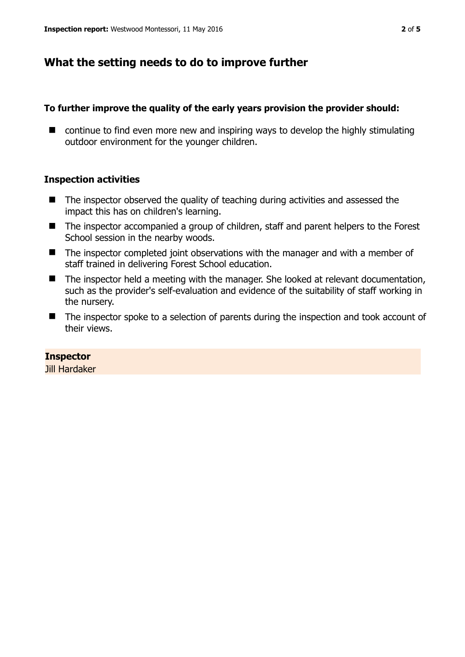# **What the setting needs to do to improve further**

## **To further improve the quality of the early years provision the provider should:**

■ continue to find even more new and inspiring ways to develop the highly stimulating outdoor environment for the younger children.

## **Inspection activities**

- $\blacksquare$  The inspector observed the quality of teaching during activities and assessed the impact this has on children's learning.
- The inspector accompanied a group of children, staff and parent helpers to the Forest School session in the nearby woods.
- The inspector completed joint observations with the manager and with a member of staff trained in delivering Forest School education.
- The inspector held a meeting with the manager. She looked at relevant documentation, such as the provider's self-evaluation and evidence of the suitability of staff working in the nursery.
- The inspector spoke to a selection of parents during the inspection and took account of their views.

## **Inspector**

Jill Hardaker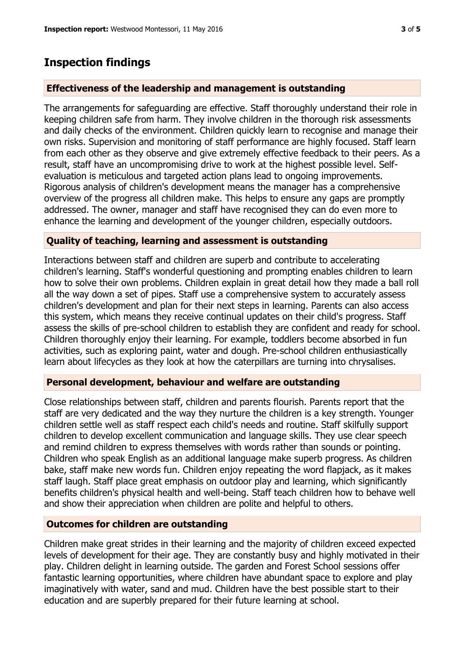## **Inspection findings**

#### **Effectiveness of the leadership and management is outstanding**

The arrangements for safeguarding are effective. Staff thoroughly understand their role in keeping children safe from harm. They involve children in the thorough risk assessments and daily checks of the environment. Children quickly learn to recognise and manage their own risks. Supervision and monitoring of staff performance are highly focused. Staff learn from each other as they observe and give extremely effective feedback to their peers. As a result, staff have an uncompromising drive to work at the highest possible level. Selfevaluation is meticulous and targeted action plans lead to ongoing improvements. Rigorous analysis of children's development means the manager has a comprehensive overview of the progress all children make. This helps to ensure any gaps are promptly addressed. The owner, manager and staff have recognised they can do even more to enhance the learning and development of the younger children, especially outdoors.

#### **Quality of teaching, learning and assessment is outstanding**

Interactions between staff and children are superb and contribute to accelerating children's learning. Staff's wonderful questioning and prompting enables children to learn how to solve their own problems. Children explain in great detail how they made a ball roll all the way down a set of pipes. Staff use a comprehensive system to accurately assess children's development and plan for their next steps in learning. Parents can also access this system, which means they receive continual updates on their child's progress. Staff assess the skills of pre-school children to establish they are confident and ready for school. Children thoroughly enjoy their learning. For example, toddlers become absorbed in fun activities, such as exploring paint, water and dough. Pre-school children enthusiastically learn about lifecycles as they look at how the caterpillars are turning into chrysalises.

#### **Personal development, behaviour and welfare are outstanding**

Close relationships between staff, children and parents flourish. Parents report that the staff are very dedicated and the way they nurture the children is a key strength. Younger children settle well as staff respect each child's needs and routine. Staff skilfully support children to develop excellent communication and language skills. They use clear speech and remind children to express themselves with words rather than sounds or pointing. Children who speak English as an additional language make superb progress. As children bake, staff make new words fun. Children enjoy repeating the word flapjack, as it makes staff laugh. Staff place great emphasis on outdoor play and learning, which significantly benefits children's physical health and well-being. Staff teach children how to behave well and show their appreciation when children are polite and helpful to others.

#### **Outcomes for children are outstanding**

Children make great strides in their learning and the majority of children exceed expected levels of development for their age. They are constantly busy and highly motivated in their play. Children delight in learning outside. The garden and Forest School sessions offer fantastic learning opportunities, where children have abundant space to explore and play imaginatively with water, sand and mud. Children have the best possible start to their education and are superbly prepared for their future learning at school.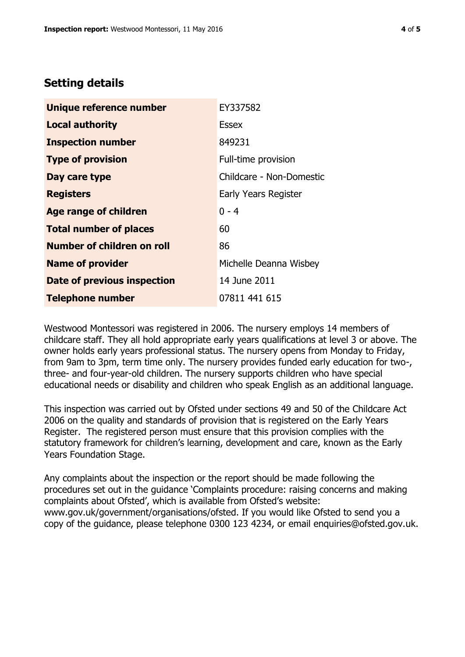# **Setting details**

| Unique reference number       | EY337582                    |  |
|-------------------------------|-----------------------------|--|
| <b>Local authority</b>        | Essex                       |  |
| <b>Inspection number</b>      | 849231                      |  |
| <b>Type of provision</b>      | Full-time provision         |  |
| Day care type                 | Childcare - Non-Domestic    |  |
| <b>Registers</b>              | <b>Early Years Register</b> |  |
| Age range of children         | $0 - 4$                     |  |
| <b>Total number of places</b> | 60                          |  |
| Number of children on roll    | 86                          |  |
| <b>Name of provider</b>       | Michelle Deanna Wisbey      |  |
| Date of previous inspection   | 14 June 2011                |  |
| <b>Telephone number</b>       | 07811 441 615               |  |

Westwood Montessori was registered in 2006. The nursery employs 14 members of childcare staff. They all hold appropriate early years qualifications at level 3 or above. The owner holds early years professional status. The nursery opens from Monday to Friday, from 9am to 3pm, term time only. The nursery provides funded early education for two-, three- and four-year-old children. The nursery supports children who have special educational needs or disability and children who speak English as an additional language.

This inspection was carried out by Ofsted under sections 49 and 50 of the Childcare Act 2006 on the quality and standards of provision that is registered on the Early Years Register. The registered person must ensure that this provision complies with the statutory framework for children's learning, development and care, known as the Early Years Foundation Stage.

Any complaints about the inspection or the report should be made following the procedures set out in the guidance 'Complaints procedure: raising concerns and making complaints about Ofsted', which is available from Ofsted's website: www.gov.uk/government/organisations/ofsted. If you would like Ofsted to send you a copy of the guidance, please telephone 0300 123 4234, or email enquiries@ofsted.gov.uk.